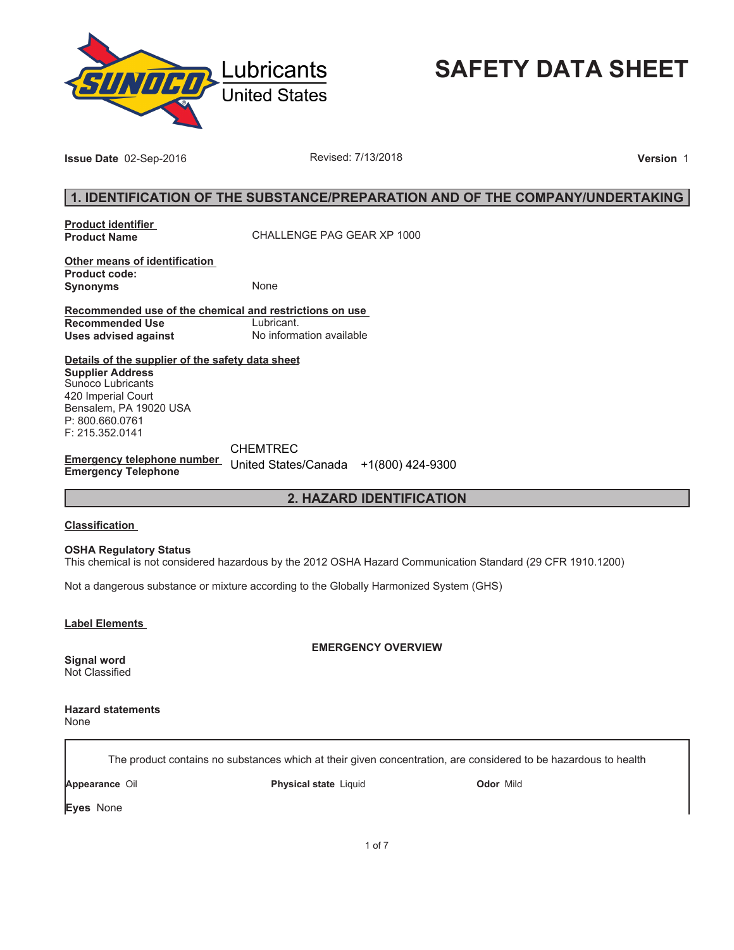

# **SAFETY DATA SHEET**

**Issue Date** 02-Sep-2016 **Revised: 7/13/2018 Proposed: 7/13/2018 Version** 1

# **1. IDENTIFICATION OF THE SUBSTANCE/PREPARATION AND OF THE COMPANY/UNDERTAKING**

**Product identifier** 

**Product Name** CHALLENGE PAG GEAR XP 1000

**Other means of identification Product code: Synonyms** None

**Recommended use of the chemical and restrictions on use Recommended Use<br>Uses advised against Uses advised against** No information available

**Details of the supplier of the safety data sheet Supplier Address** Sunoco Lubricants 420 Imperial Court Bensalem, PA 19020 USA P: 800.660.0761 F: 215.352.0141

**Emergency telephone number Emergency Telephone** United States/Canada +1(800) 424-9300CHEMTREC

**2. HAZARD IDENTIFICATION**

### **Classification**

**OSHA Regulatory Status**

This chemical is not considered hazardous by the 2012 OSHA Hazard Communication Standard (29 CFR 1910.1200)

Not a dangerous substance or mixture according to the Globally Harmonized System (GHS)

**Label Elements** 

**EMERGENCY OVERVIEW**

**Signal word** Not Classified

**Hazard statements** None

The product contains no substances which at their given concentration, are considered to be hazardous to health

**Appearance** Oil **Physical state** Liquid **Odor** Mild

**Eyes** None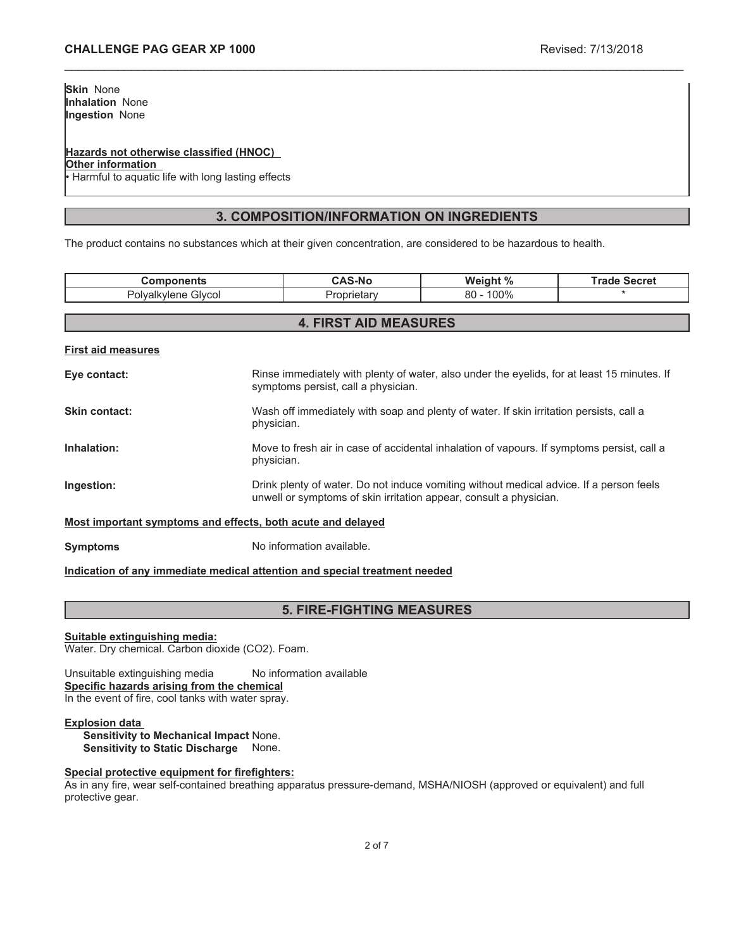### **Hazards not otherwise classified (HNOC)**

**Other information**

Harmful to aquatic life with long lasting effects

# **3. COMPOSITION/INFORMATION ON INGREDIENTS**

\_\_\_\_\_\_\_\_\_\_\_\_\_\_\_\_\_\_\_\_\_\_\_\_\_\_\_\_\_\_\_\_\_\_\_\_\_\_\_\_\_\_\_\_\_\_\_\_\_\_\_\_\_\_\_\_\_\_\_\_\_\_\_\_\_\_\_\_\_\_\_\_\_\_\_\_\_\_\_\_\_\_\_\_\_\_\_\_\_\_\_\_\_

The product contains no substances which at their given concentration, are considered to be hazardous to health.

| <b>Components</b>                                           |                                                                                                                                                               | <b>CAS-No</b>                | Weight %     | <b>Trade Secret</b> |
|-------------------------------------------------------------|---------------------------------------------------------------------------------------------------------------------------------------------------------------|------------------------------|--------------|---------------------|
| Polyalkylene Glycol                                         |                                                                                                                                                               | Proprietary                  | $80 - 100\%$ |                     |
|                                                             |                                                                                                                                                               |                              |              |                     |
|                                                             |                                                                                                                                                               | <b>4. FIRST AID MEASURES</b> |              |                     |
| <b>First aid measures</b>                                   |                                                                                                                                                               |                              |              |                     |
| Eye contact:                                                | Rinse immediately with plenty of water, also under the eyelids, for at least 15 minutes. If<br>symptoms persist, call a physician.                            |                              |              |                     |
| Skin contact:                                               | Wash off immediately with soap and plenty of water. If skin irritation persists, call a<br>physician.                                                         |                              |              |                     |
| Inhalation:                                                 | Move to fresh air in case of accidental inhalation of vapours. If symptoms persist, call a<br>physician.                                                      |                              |              |                     |
| Ingestion:                                                  | Drink plenty of water. Do not induce vomiting without medical advice. If a person feels<br>unwell or symptoms of skin irritation appear, consult a physician. |                              |              |                     |
| Most important symptoms and effects, both acute and delayed |                                                                                                                                                               |                              |              |                     |
| <b>Symptoms</b>                                             | No information available.                                                                                                                                     |                              |              |                     |

### **Indication of any immediate medical attention and special treatment needed**

# **5. FIRE-FIGHTING MEASURES**

### **Suitable extinguishing media:**

Water. Dry chemical. Carbon dioxide (CO2). Foam.

Unsuitable extinguishing media No information available **Specific hazards arising from the chemical** In the event of fire, cool tanks with water spray.

### **Explosion data**

**Sensitivity to Mechanical Impact** None. **Sensitivity to Static Discharge** None.

### **Special protective equipment for firefighters:**

As in any fire, wear self-contained breathing apparatus pressure-demand, MSHA/NIOSH (approved or equivalent) and full protective gear.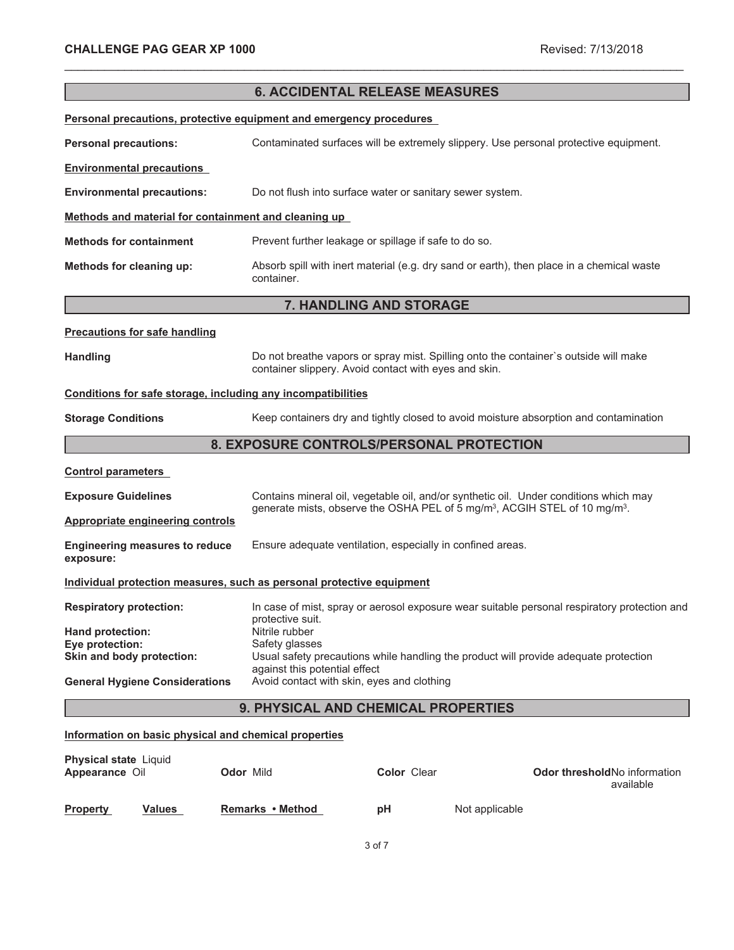|                                                                       |                                                                             | <b>6. ACCIDENTAL RELEASE MEASURES</b>                      |                                                                                                    |
|-----------------------------------------------------------------------|-----------------------------------------------------------------------------|------------------------------------------------------------|----------------------------------------------------------------------------------------------------|
| Personal precautions, protective equipment and emergency procedures   |                                                                             |                                                            |                                                                                                    |
| <b>Personal precautions:</b>                                          |                                                                             |                                                            | Contaminated surfaces will be extremely slippery. Use personal protective equipment.               |
| <b>Environmental precautions</b>                                      |                                                                             |                                                            |                                                                                                    |
| <b>Environmental precautions:</b>                                     |                                                                             | Do not flush into surface water or sanitary sewer system.  |                                                                                                    |
| Methods and material for containment and cleaning up                  |                                                                             |                                                            |                                                                                                    |
| <b>Methods for containment</b>                                        |                                                                             | Prevent further leakage or spillage if safe to do so.      |                                                                                                    |
| Methods for cleaning up:                                              | container.                                                                  |                                                            | Absorb spill with inert material (e.g. dry sand or earth), then place in a chemical waste          |
|                                                                       |                                                                             | 7. HANDLING AND STORAGE                                    |                                                                                                    |
| <b>Precautions for safe handling</b>                                  |                                                                             |                                                            |                                                                                                    |
| <b>Handling</b>                                                       |                                                                             | container slippery. Avoid contact with eyes and skin.      | Do not breathe vapors or spray mist. Spilling onto the container's outside will make               |
| Conditions for safe storage, including any incompatibilities          |                                                                             |                                                            |                                                                                                    |
| <b>Storage Conditions</b>                                             |                                                                             |                                                            | Keep containers dry and tightly closed to avoid moisture absorption and contamination              |
|                                                                       |                                                                             | 8. EXPOSURE CONTROLS/PERSONAL PROTECTION                   |                                                                                                    |
| <b>Control parameters</b>                                             |                                                                             |                                                            |                                                                                                    |
| <b>Exposure Guidelines</b>                                            |                                                                             |                                                            | Contains mineral oil, vegetable oil, and/or synthetic oil. Under conditions which may              |
| <b>Appropriate engineering controls</b>                               |                                                                             |                                                            | generate mists, observe the OSHA PEL of 5 mg/m <sup>3</sup> , ACGIH STEL of 10 mg/m <sup>3</sup> . |
| <b>Engineering measures to reduce</b><br>exposure:                    |                                                                             | Ensure adequate ventilation, especially in confined areas. |                                                                                                    |
| Individual protection measures, such as personal protective equipment |                                                                             |                                                            |                                                                                                    |
| <b>Respiratory protection:</b>                                        | protective suit.                                                            |                                                            | In case of mist, spray or aerosol exposure wear suitable personal respiratory protection and       |
| Hand protection:                                                      | Nitrile rubber                                                              |                                                            |                                                                                                    |
| Eye protection:<br>Skin and body protection:                          | Safety glasses                                                              |                                                            | Usual safety precautions while handling the product will provide adequate protection               |
| <b>General Hygiene Considerations</b>                                 | against this potential effect<br>Avoid contact with skin, eyes and clothing |                                                            |                                                                                                    |
|                                                                       |                                                                             | 9. PHYSICAL AND CHEMICAL PROPERTIES                        |                                                                                                    |
| Information on basic physical and chemical properties                 |                                                                             |                                                            |                                                                                                    |
| Physical state Liquid<br>Appearance Oil                               | Odor Mild                                                                   | Color Clear                                                | Odor threshold No information                                                                      |

\_\_\_\_\_\_\_\_\_\_\_\_\_\_\_\_\_\_\_\_\_\_\_\_\_\_\_\_\_\_\_\_\_\_\_\_\_\_\_\_\_\_\_\_\_\_\_\_\_\_\_\_\_\_\_\_\_\_\_\_\_\_\_\_\_\_\_\_\_\_\_\_\_\_\_\_\_\_\_\_\_\_\_\_\_\_\_\_\_\_\_\_\_

|                 |               |                  |    |                | available |
|-----------------|---------------|------------------|----|----------------|-----------|
| <b>Property</b> | <b>Values</b> | Remarks • Method | рH | Not applicable |           |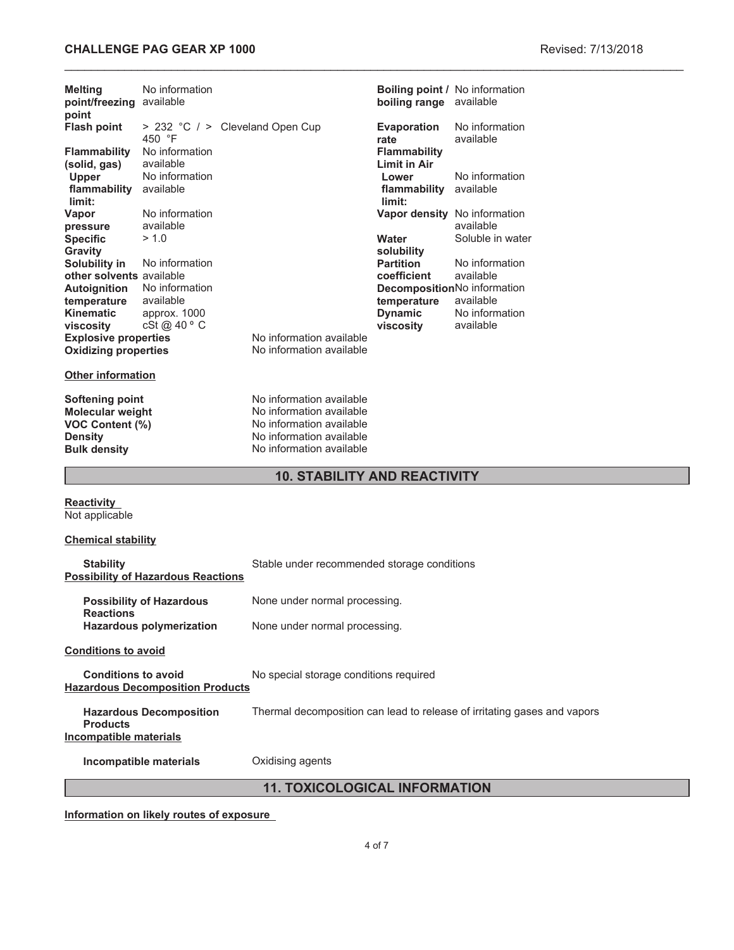# **CHALLENGE PAG GEAR XP 1000 Revised: 7/13/2018**

| <b>Melting</b><br>point/freezing available<br>point                                                                  | No information                              |                                                                                                                                          | boiling range available                    | <b>Boiling point / No information</b>                      |
|----------------------------------------------------------------------------------------------------------------------|---------------------------------------------|------------------------------------------------------------------------------------------------------------------------------------------|--------------------------------------------|------------------------------------------------------------|
| <b>Flash point</b>                                                                                                   | 450 °F                                      | > 232 °C / > Cleveland Open Cup                                                                                                          | <b>Evaporation</b><br>rate                 | No information<br>available                                |
| <b>Flammability</b><br>(solid, gas)                                                                                  | No information<br>available                 |                                                                                                                                          | <b>Flammability</b><br><b>Limit in Air</b> |                                                            |
| <b>Upper</b><br>flammability<br>limit:                                                                               | No information<br>available                 |                                                                                                                                          | Lower<br>flammability available<br>limit:  | No information                                             |
| Vapor<br>pressure                                                                                                    | No information<br>available                 |                                                                                                                                          |                                            | Vapor density No information<br>available                  |
| <b>Specific</b><br>Gravity                                                                                           | > 1.0                                       |                                                                                                                                          | Water<br>solubility                        | Soluble in water                                           |
| Solubility in<br>other solvents available                                                                            | No information                              |                                                                                                                                          | <b>Partition</b><br>coefficient            | No information<br>available                                |
| Autoignition<br>temperature<br><b>Kinematic</b>                                                                      | No information<br>available<br>approx. 1000 |                                                                                                                                          | temperature<br><b>Dynamic</b>              | DecompositionNo information<br>available<br>No information |
| viscosity<br><b>Explosive properties</b><br><b>Oxidizing properties</b>                                              | cSt @ 40 ° C                                | No information available<br>No information available                                                                                     | viscosity                                  | available                                                  |
| <b>Other information</b>                                                                                             |                                             |                                                                                                                                          |                                            |                                                            |
| <b>Softening point</b><br><b>Molecular weight</b><br><b>VOC Content (%)</b><br><b>Density</b><br><b>Bulk density</b> |                                             | No information available<br>No information available<br>No information available<br>No information available<br>No information available |                                            |                                                            |
| <b>10. STABILITY AND REACTIVITY</b>                                                                                  |                                             |                                                                                                                                          |                                            |                                                            |
| <b>Reactivity</b><br>Not applicable                                                                                  |                                             |                                                                                                                                          |                                            |                                                            |
| <b>Chemical stability</b>                                                                                            |                                             |                                                                                                                                          |                                            |                                                            |
| <b>Stability</b>                                                                                                     | <b>Possibility of Hazardous Reactions</b>   | Stable under recommended storage conditions                                                                                              |                                            |                                                            |
| <b>Reactions</b>                                                                                                     | <b>Possibility of Hazardous</b>             | None under normal processing.                                                                                                            |                                            |                                                            |
|                                                                                                                      | <b>Hazardous polymerization</b>             | None under normal processing.                                                                                                            |                                            |                                                            |
| <b>Conditions to avoid</b>                                                                                           |                                             |                                                                                                                                          |                                            |                                                            |
| <b>Conditions to avoid</b>                                                                                           |                                             | No special storage conditions required                                                                                                   |                                            |                                                            |

**Hazardous Decomposition Products**

**Hazardous Decomposition Products** Thermal decomposition can lead to release of irritating gases and vapors **Incompatible materials**

**Incompatible materials Oxidising agents** 

**11. TOXICOLOGICAL INFORMATION**

**Information on likely routes of exposure**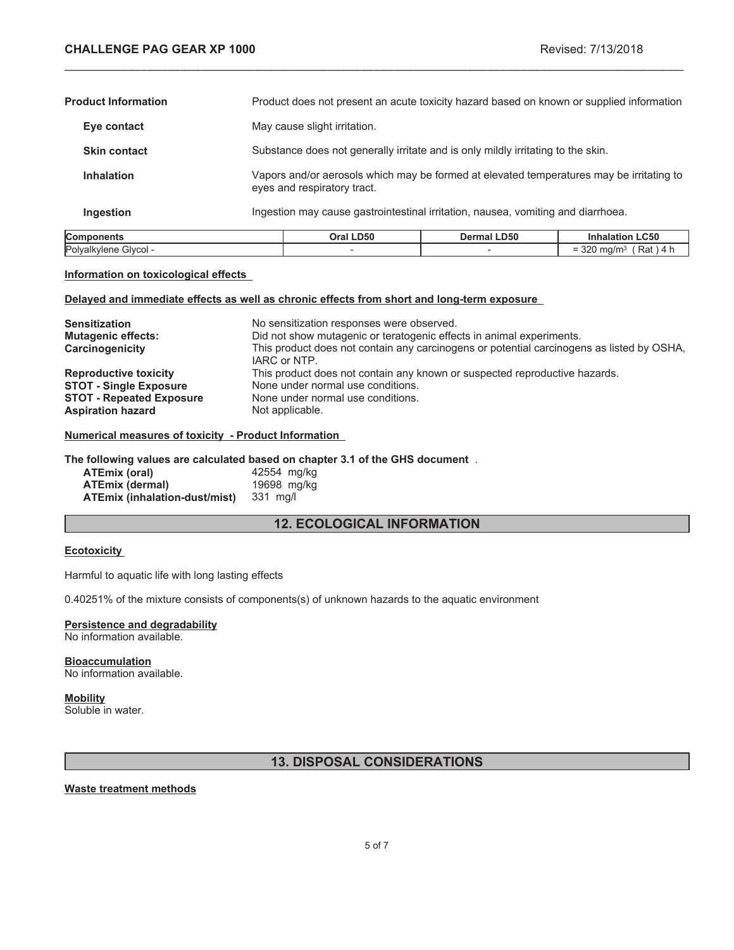$= 320$  mg/m<sup>3</sup> (Rat ) 4 h

| <b>Components</b>          | Oral LD50                                                                                                               | <b>Dermal LD50</b>                                                                       | <b>Inhalation LC50</b> |
|----------------------------|-------------------------------------------------------------------------------------------------------------------------|------------------------------------------------------------------------------------------|------------------------|
| Ingestion                  | Ingestion may cause gastrointestinal irritation, nausea, vomiting and diarrhoea.                                        |                                                                                          |                        |
| <b>Inhalation</b>          | Vapors and/or aerosols which may be formed at elevated temperatures may be irritating to<br>eyes and respiratory tract. |                                                                                          |                        |
| <b>Skin contact</b>        | Substance does not generally irritate and is only mildly irritating to the skin.                                        |                                                                                          |                        |
| Eye contact                | May cause slight irritation.                                                                                            |                                                                                          |                        |
| <b>Product Information</b> |                                                                                                                         | Product does not present an acute toxicity hazard based on known or supplied information |                        |

\_\_\_\_\_\_\_\_\_\_\_\_\_\_\_\_\_\_\_\_\_\_\_\_\_\_\_\_\_\_\_\_\_\_\_\_\_\_\_\_\_\_\_\_\_\_\_\_\_\_\_\_\_\_\_\_\_\_\_\_\_\_\_\_\_\_\_\_\_\_\_\_\_\_\_\_\_\_\_\_\_\_\_\_\_\_\_\_\_\_\_\_\_

### **Information on toxicological effects**

### **Delayed and immediate effects as well as chronic effects from short and long-term exposure**

Polyalkylene Glycol -  $\overline{\phantom{a}}$  -  $\overline{\phantom{a}}$  -

| <b>Sensitization</b><br><b>Mutagenic effects:</b><br>Carcinogenicity | No sensitization responses were observed.<br>Did not show mutagenic or teratogenic effects in animal experiments.<br>This product does not contain any carcinogens or potential carcinogens as listed by OSHA,<br>IARC or NTP. |
|----------------------------------------------------------------------|--------------------------------------------------------------------------------------------------------------------------------------------------------------------------------------------------------------------------------|
| <b>Reproductive toxicity</b>                                         | This product does not contain any known or suspected reproductive hazards.                                                                                                                                                     |
| <b>STOT - Single Exposure</b>                                        | None under normal use conditions.                                                                                                                                                                                              |
| <b>STOT - Repeated Exposure</b>                                      | None under normal use conditions.                                                                                                                                                                                              |
| <b>Aspiration hazard</b>                                             | Not applicable.                                                                                                                                                                                                                |

### **Numerical measures of toxicity - Product Information**

#### **The following values are calculated based on chapter 3.1 of the GHS document** .

| ATEmix (oral)                        | 42554 mg/kg |
|--------------------------------------|-------------|
| <b>ATEmix (dermal)</b>               | 19698 mg/kg |
| <b>ATEmix (inhalation-dust/mist)</b> | 331 mg/l    |

# **12. ECOLOGICAL INFORMATION**

### **Ecotoxicity**

Harmful to aquatic life with long lasting effects

0.40251% of the mixture consists of components(s) of unknown hazards to the aquatic environment

# **Persistence and degradability**

No information available.

#### **Bioaccumulation** No information available.

# **Mobility**

Soluble in water.

# **13. DISPOSAL CONSIDERATIONS**

### **Waste treatment methods**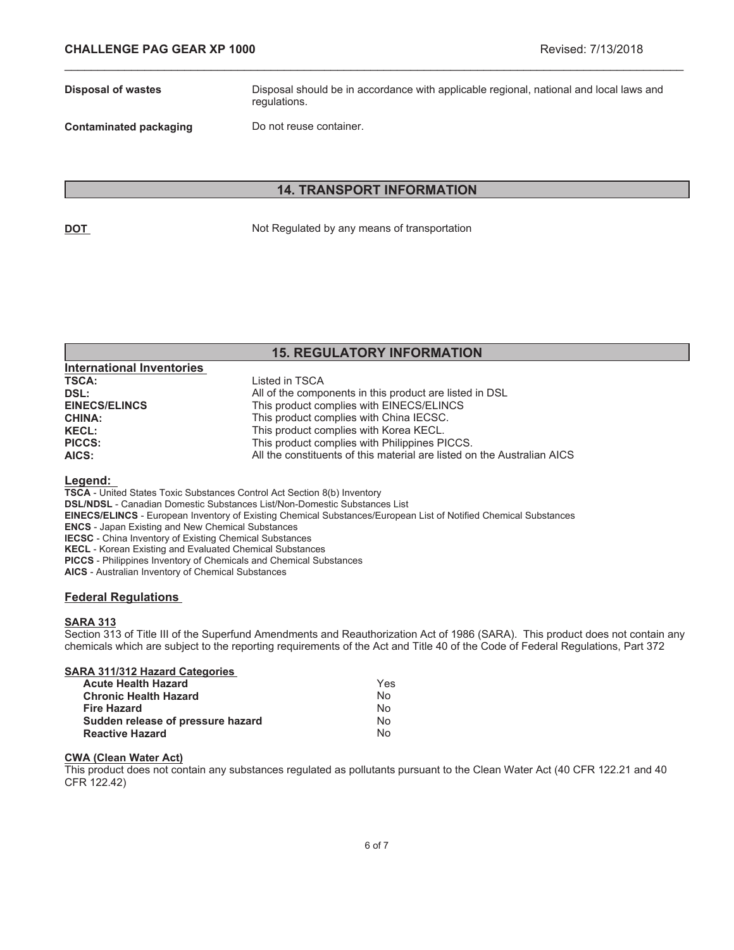**Disposal of wastes** Disposal should be in accordance with applicable regional, national and local laws and regulations.

**Contaminated packaging Do not reuse container.** 

### **14. TRANSPORT INFORMATION**

\_\_\_\_\_\_\_\_\_\_\_\_\_\_\_\_\_\_\_\_\_\_\_\_\_\_\_\_\_\_\_\_\_\_\_\_\_\_\_\_\_\_\_\_\_\_\_\_\_\_\_\_\_\_\_\_\_\_\_\_\_\_\_\_\_\_\_\_\_\_\_\_\_\_\_\_\_\_\_\_\_\_\_\_\_\_\_\_\_\_\_\_\_

**DOT** Not Regulated by any means of transportation

# **15. REGULATORY INFORMATION**

| <b>International Inventories</b> |                                                                         |
|----------------------------------|-------------------------------------------------------------------------|
| <b>TSCA:</b>                     | Listed in TSCA                                                          |
| DSL:                             | All of the components in this product are listed in DSL                 |
| <b>EINECS/ELINCS</b>             | This product complies with EINECS/ELINCS                                |
| <b>CHINA:</b>                    | This product complies with China IECSC.                                 |
| <b>KECL:</b>                     | This product complies with Korea KECL.                                  |
| <b>PICCS:</b>                    | This product complies with Philippines PICCS.                           |
| AICS:                            | All the constituents of this material are listed on the Australian AICS |

### **Legend:**

**TSCA** - United States Toxic Substances Control Act Section 8(b) Inventory

**DSL/NDSL** - Canadian Domestic Substances List/Non-Domestic Substances List

- **EINECS/ELINCS** European Inventory of Existing Chemical Substances/European List of Notified Chemical Substances
- **ENCS** Japan Existing and New Chemical Substances

**IECSC** - China Inventory of Existing Chemical Substances

**KECL** - Korean Existing and Evaluated Chemical Substances

**PICCS** - Philippines Inventory of Chemicals and Chemical Substances

**AICS** - Australian Inventory of Chemical Substances

### **Federal Regulations**

### **SARA 313**

Section 313 of Title III of the Superfund Amendments and Reauthorization Act of 1986 (SARA). This product does not contain any chemicals which are subject to the reporting requirements of the Act and Title 40 of the Code of Federal Regulations, Part 372

| <b>SARA 311/312 Hazard Categories</b> |  |  |
|---------------------------------------|--|--|
| Acuto Hoalth Hazard                   |  |  |

| <b>Acute Health Hazard</b>        | Yes |
|-----------------------------------|-----|
| <b>Chronic Health Hazard</b>      | No. |
| Fire Hazard                       | No  |
| Sudden release of pressure hazard | N٥  |
| <b>Reactive Hazard</b>            | N٥  |

### **CWA (Clean Water Act)**

This product does not contain any substances regulated as pollutants pursuant to the Clean Water Act (40 CFR 122.21 and 40 CFR 122.42)